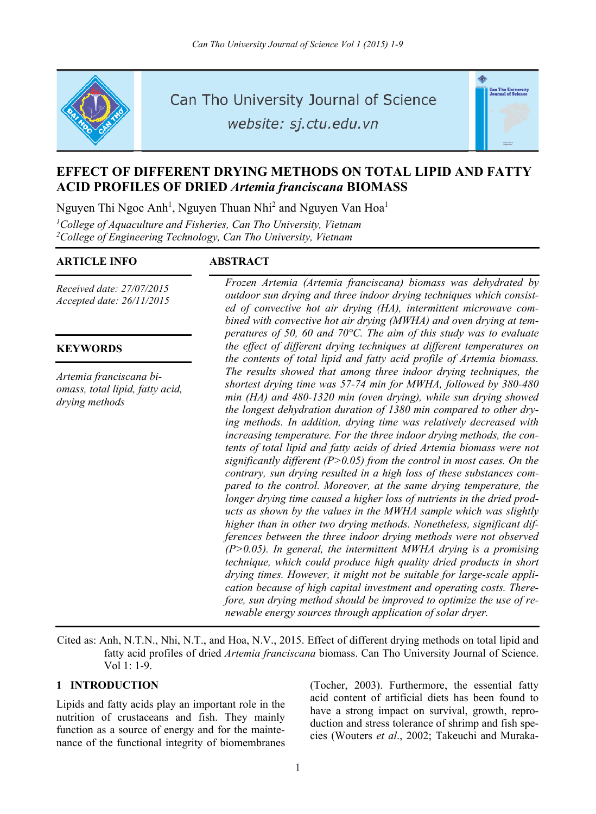

Can Tho University Journal of Science

website: sj.ctu.edu.vn

# **EFFECT OF DIFFERENT DRYING METHODS ON TOTAL LIPID AND FATTY ACID PROFILES OF DRIED** *Artemia franciscana* **BIOMASS**

Nguyen Thi Ngoc Anh<sup>1</sup>, Nguyen Thuan Nhi<sup>2</sup> and Nguyen Van Hoa<sup>1</sup>

<sup>1</sup>College of Aquaculture and Fisheries, Can Tho University, Vietnam <sup>2</sup> College of Engineering Technology, Can Tho University, Vietnam

## **ARTICLE INFO ABSTRACT**

*Received date: 27/07/2015 Accepted date: 26/11/2015* 

### **KEYWORDS**

*Artemia franciscana biomass, total lipid, fatty acid, drying methods*

*Frozen Artemia (Artemia franciscana) biomass was dehydrated by outdoor sun drying and three indoor drying techniques which consisted of convective hot air drying (HA), intermittent microwave combined with convective hot air drying (MWHA) and oven drying at temperatures of 50, 60 and 70°C. The aim of this study was to evaluate the effect of different drying techniques at different temperatures on the contents of total lipid and fatty acid profile of Artemia biomass. The results showed that among three indoor drying techniques, the shortest drying time was 57-74 min for MWHA, followed by 380-480 min (HA) and 480-1320 min (oven drying), while sun drying showed the longest dehydration duration of 1380 min compared to other drying methods. In addition, drying time was relatively decreased with increasing temperature. For the three indoor drying methods, the contents of total lipid and fatty acids of dried Artemia biomass were not significantly different (P>0.05) from the control in most cases. On the contrary, sun drying resulted in a high loss of these substances compared to the control. Moreover, at the same drying temperature, the longer drying time caused a higher loss of nutrients in the dried products as shown by the values in the MWHA sample which was slightly higher than in other two drying methods. Nonetheless, significant differences between the three indoor drying methods were not observed (P>0.05). In general, the intermittent MWHA drying is a promising technique, which could produce high quality dried products in short drying times. However, it might not be suitable for large-scale application because of high capital investment and operating costs. Therefore, sun drying method should be improved to optimize the use of renewable energy sources through application of solar dryer.* 

.<br>Can Tho Universi<br>Journal of Scienc

Cited as: Anh, N.T.N., Nhi, N.T., and Hoa, N.V., 2015. Effect of different drying methods on total lipid and fatty acid profiles of dried *Artemia franciscana* biomass. Can Tho University Journal of Science.  $Vol 1: 1-9.$ 

## **1 INTRODUCTION**

Lipids and fatty acids play an important role in the nutrition of crustaceans and fish. They mainly function as a source of energy and for the maintenance of the functional integrity of biomembranes (Tocher, 2003). Furthermore, the essential fatty acid content of artificial diets has been found to have a strong impact on survival, growth, reproduction and stress tolerance of shrimp and fish species (Wouters *et al*., 2002; Takeuchi and Muraka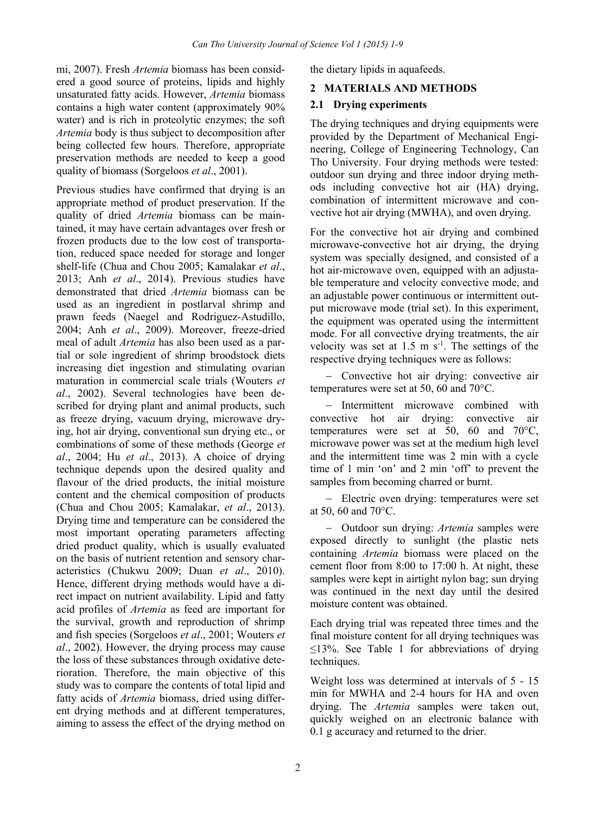mi, 2007). Fresh *Artemia* biomass has been considered a good source of proteins, lipids and highly unsaturated fatty acids. However, *Artemia* biomass contains a high water content (approximately 90% water) and is rich in proteolytic enzymes; the soft *Artemia* body is thus subject to decomposition after being collected few hours. Therefore, appropriate preservation methods are needed to keep a good quality of biomass (Sorgeloos *et al*., 2001).

Previous studies have confirmed that drying is an appropriate method of product preservation. If the quality of dried *Artemia* biomass can be maintained, it may have certain advantages over fresh or frozen products due to the low cost of transportation, reduced space needed for storage and longer shelf-life (Chua and Chou 2005; Kamalakar *et al*., 2013; Anh *et al*., 2014). Previous studies have demonstrated that dried *Artemia* biomass can be used as an ingredient in postlarval shrimp and prawn feeds (Naegel and Rodriguez-Astudillo, 2004; Anh *et al*., 2009). Moreover, freeze-dried meal of adult *Artemia* has also been used as a partial or sole ingredient of shrimp broodstock diets increasing diet ingestion and stimulating ovarian maturation in commercial scale trials (Wouters *et al*., 2002). Several technologies have been described for drying plant and animal products, such as freeze drying, vacuum drying, microwave drying, hot air drying, conventional sun drying etc., or combinations of some of these methods (George *et al*., 2004; Hu *et al*., 2013). A choice of drying technique depends upon the desired quality and flavour of the dried products, the initial moisture content and the chemical composition of products (Chua and Chou 2005; Kamalakar, *et al*., 2013). Drying time and temperature can be considered the most important operating parameters affecting dried product quality, which is usually evaluated on the basis of nutrient retention and sensory characteristics (Chukwu 2009; Duan *et al*., 2010). Hence, different drying methods would have a direct impact on nutrient availability. Lipid and fatty acid profiles of *Artemia* as feed are important for the survival, growth and reproduction of shrimp and fish species (Sorgeloos *et al*., 2001; Wouters *et al*., 2002). However, the drying process may cause the loss of these substances through oxidative deterioration. Therefore, the main objective of this study was to compare the contents of total lipid and fatty acids of *Artemia* biomass, dried using different drying methods and at different temperatures, aiming to assess the effect of the drying method on

the dietary lipids in aquafeeds.

## **2 MATERIALS AND METHODS**

### **2.1 Drying experiments**

The drying techniques and drying equipments were provided by the Department of Mechanical Engineering, College of Engineering Technology, Can Tho University. Four drying methods were tested: outdoor sun drying and three indoor drying methods including convective hot air (HA) drying, combination of intermittent microwave and convective hot air drying (MWHA), and oven drying.

For the convective hot air drying and combined microwave-convective hot air drying, the drying system was specially designed, and consisted of a hot air-microwave oven, equipped with an adjustable temperature and velocity convective mode, and an adjustable power continuous or intermittent output microwave mode (trial set). In this experiment, the equipment was operated using the intermittent mode. For all convective drying treatments, the air velocity was set at  $1.5 \text{ m s}^{-1}$ . The settings of the respective drying techniques were as follows:

- Convective hot air drying: convective air temperatures were set at 50, 60 and 70°C.

- Intermittent microwave combined with convective hot air drying: convective air temperatures were set at 50, 60 and 70°C, microwave power was set at the medium high level and the intermittent time was 2 min with a cycle time of 1 min 'on' and 2 min 'off' to prevent the samples from becoming charred or burnt.

- Electric oven drying: temperatures were set at 50, 60 and 70°C.

 Outdoor sun drying: *Artemia* samples were exposed directly to sunlight (the plastic nets containing *Artemia* biomass were placed on the cement floor from 8:00 to 17:00 h. At night, these samples were kept in airtight nylon bag; sun drying was continued in the next day until the desired moisture content was obtained.

Each drying trial was repeated three times and the final moisture content for all drying techniques was  $\leq$ 13%. See Table 1 for abbreviations of drying techniques.

Weight loss was determined at intervals of 5 - 15 min for MWHA and 2-4 hours for HA and oven drying. The *Artemia* samples were taken out, quickly weighed on an electronic balance with 0.1 g accuracy and returned to the drier.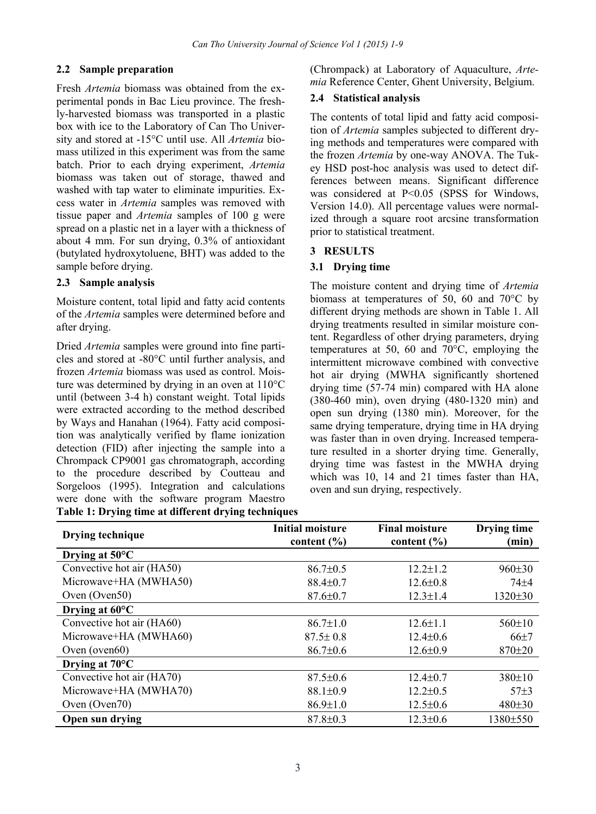## **2.2 Sample preparation**

Fresh *Artemia* biomass was obtained from the experimental ponds in Bac Lieu province. The freshly-harvested biomass was transported in a plastic box with ice to the Laboratory of Can Tho University and stored at -15°C until use. All *Artemia* biomass utilized in this experiment was from the same batch. Prior to each drying experiment, *Artemia* biomass was taken out of storage, thawed and washed with tap water to eliminate impurities. Excess water in *Artemia* samples was removed with tissue paper and *Artemia* samples of 100 g were spread on a plastic net in a layer with a thickness of about 4 mm. For sun drying, 0.3% of antioxidant (butylated hydroxytoluene, BHT) was added to the sample before drying.

## **2.3 Sample analysis**

Moisture content, total lipid and fatty acid contents of the *Artemia* samples were determined before and after drying.

Dried *Artemia* samples were ground into fine particles and stored at -80°C until further analysis, and frozen *Artemia* biomass was used as control. Moisture was determined by drying in an oven at 110°C until (between 3-4 h) constant weight. Total lipids were extracted according to the method described by Ways and Hanahan (1964). Fatty acid composition was analytically verified by flame ionization detection (FID) after injecting the sample into a Chrompack CP9001 gas chromatograph, according to the procedure described by Coutteau and Sorgeloos (1995). Integration and calculations were done with the software program Maestro **Table 1: Drying time at different drying techniques**  (Chrompack) at Laboratory of Aquaculture, *Artemia* Reference Center, Ghent University, Belgium.

## **2.4 Statistical analysis**

The contents of total lipid and fatty acid composition of *Artemia* samples subjected to different drying methods and temperatures were compared with the frozen *Artemia* by one-way ANOVA. The Tukey HSD post-hoc analysis was used to detect differences between means. Significant difference was considered at P<0.05 (SPSS for Windows, Version 14.0). All percentage values were normalized through a square root arcsine transformation prior to statistical treatment.

## **3 RESULTS**

## **3.1 Drying time**

The moisture content and drying time of *Artemia* biomass at temperatures of 50, 60 and 70°C by different drying methods are shown in Table 1. All drying treatments resulted in similar moisture content. Regardless of other drying parameters, drying temperatures at 50, 60 and 70°C, employing the intermittent microwave combined with convective hot air drying (MWHA significantly shortened drying time (57-74 min) compared with HA alone (380-460 min), oven drying (480-1320 min) and open sun drying (1380 min). Moreover, for the same drying temperature, drying time in HA drying was faster than in oven drying. Increased temperature resulted in a shorter drying time. Generally, drying time was fastest in the MWHA drying which was 10, 14 and 21 times faster than HA, oven and sun drying, respectively.

| Drying technique          | Initial moisture<br>content $(\% )$ | <b>Final moisture</b><br>content $(\% )$ | Drying time<br>(min) |  |
|---------------------------|-------------------------------------|------------------------------------------|----------------------|--|
| Drying at $50^{\circ}$ C  |                                     |                                          |                      |  |
| Convective hot air (HA50) | $86.7 \pm 0.5$                      | $12.2 \pm 1.2$                           | 960±30               |  |
| Microwave+HA (MWHA50)     | $88.4 \pm 0.7$                      | $12.6 \pm 0.8$                           | $74 + 4$             |  |
| Oven $(Oven50)$           | $87.6 \pm 0.7$                      | $12.3 \pm 1.4$                           | $1320 \pm 30$        |  |
| Drying at $60^{\circ}$ C  |                                     |                                          |                      |  |
| Convective hot air (HA60) | $86.7 \pm 1.0$                      | $12.6 \pm 1.1$                           | $560 \pm 10$         |  |
| Microwave+HA (MWHA60)     | $87.5 \pm 0.8$                      | $12.4 \pm 0.6$                           | $66+7$               |  |
| Oven ( $oven60$ )         | $86.7 \pm 0.6$                      | $12.6 \pm 0.9$                           | $870 + 20$           |  |
| Drying at $70^{\circ}$ C  |                                     |                                          |                      |  |
| Convective hot air (HA70) | $87.5 \pm 0.6$                      | $12.4 \pm 0.7$                           | 380±10               |  |
| Microwave+HA (MWHA70)     | $88.1 \pm 0.9$                      | $12.2 \pm 0.5$                           | 57 <sub>±3</sub>     |  |
| Oven $(Oven70)$           | $86.9 \pm 1.0$                      | $12.5 \pm 0.6$                           | 480±30               |  |
| Open sun drying           | $87.8 \pm 0.3$                      | $12.3 \pm 0.6$                           | 1380±550             |  |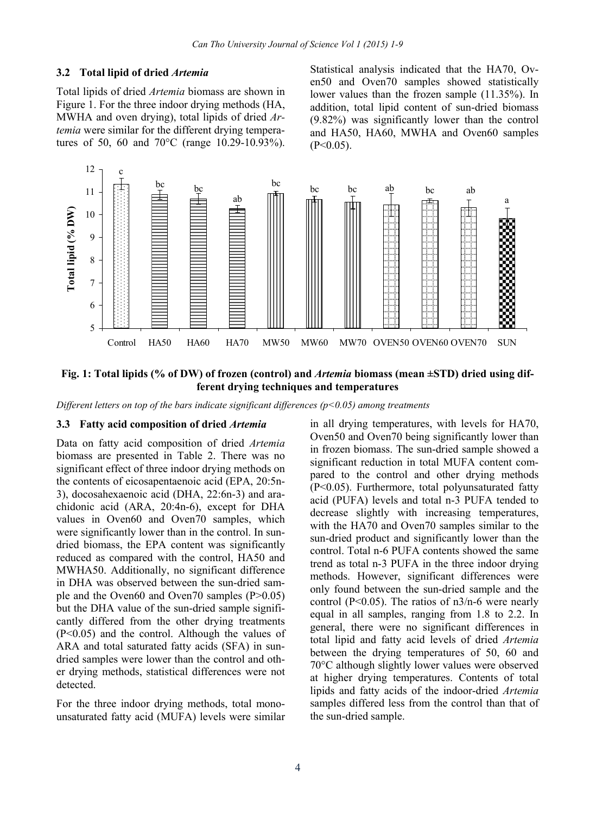#### **3.2 Total lipid of dried** *Artemia*

Total lipids of dried *Artemia* biomass are shown in Figure 1. For the three indoor drying methods (HA, MWHA and oven drying), total lipids of dried *Artemia* were similar for the different drying temperatures of 50, 60 and 70°C (range 10.29-10.93%).

Statistical analysis indicated that the HA70, Oven50 and Oven70 samples showed statistically lower values than the frozen sample (11.35%). In addition, total lipid content of sun-dried biomass (9.82%) was significantly lower than the control and HA50, HA60, MWHA and Oven60 samples  $(P<0.05)$ .



**Fig. 1: Total lipids (% of DW) of frozen (control) and** *Artemia* **biomass (mean ±STD) dried using different drying techniques and temperatures** 

*Different letters on top of the bars indicate significant differences (p<0.05) among treatments* 

#### **3.3 Fatty acid composition of dried** *Artemia*

Data on fatty acid composition of dried *Artemia* biomass are presented in Table 2. There was no significant effect of three indoor drying methods on the contents of eicosapentaenoic acid (EPA, 20:5n-3), docosahexaenoic acid (DHA, 22:6n-3) and arachidonic acid (ARA, 20:4n-6), except for DHA values in Oven60 and Oven70 samples, which were significantly lower than in the control. In sundried biomass, the EPA content was significantly reduced as compared with the control, HA50 and MWHA50. Additionally, no significant difference in DHA was observed between the sun-dried sample and the Oven60 and Oven70 samples (P>0.05) but the DHA value of the sun-dried sample significantly differed from the other drying treatments (P<0.05) and the control. Although the values of ARA and total saturated fatty acids (SFA) in sundried samples were lower than the control and other drying methods, statistical differences were not detected.

For the three indoor drying methods, total monounsaturated fatty acid (MUFA) levels were similar in all drying temperatures, with levels for HA70, Oven50 and Oven70 being significantly lower than in frozen biomass. The sun-dried sample showed a significant reduction in total MUFA content compared to the control and other drying methods (P<0.05). Furthermore, total polyunsaturated fatty acid (PUFA) levels and total n-3 PUFA tended to decrease slightly with increasing temperatures, with the HA70 and Oven70 samples similar to the sun-dried product and significantly lower than the control. Total n-6 PUFA contents showed the same trend as total n-3 PUFA in the three indoor drying methods. However, significant differences were only found between the sun-dried sample and the control ( $P<0.05$ ). The ratios of  $n3/n-6$  were nearly equal in all samples, ranging from 1.8 to 2.2. In general, there were no significant differences in total lipid and fatty acid levels of dried *Artemia* between the drying temperatures of 50, 60 and 70°C although slightly lower values were observed at higher drying temperatures. Contents of total lipids and fatty acids of the indoor-dried *Artemia* samples differed less from the control than that of the sun-dried sample.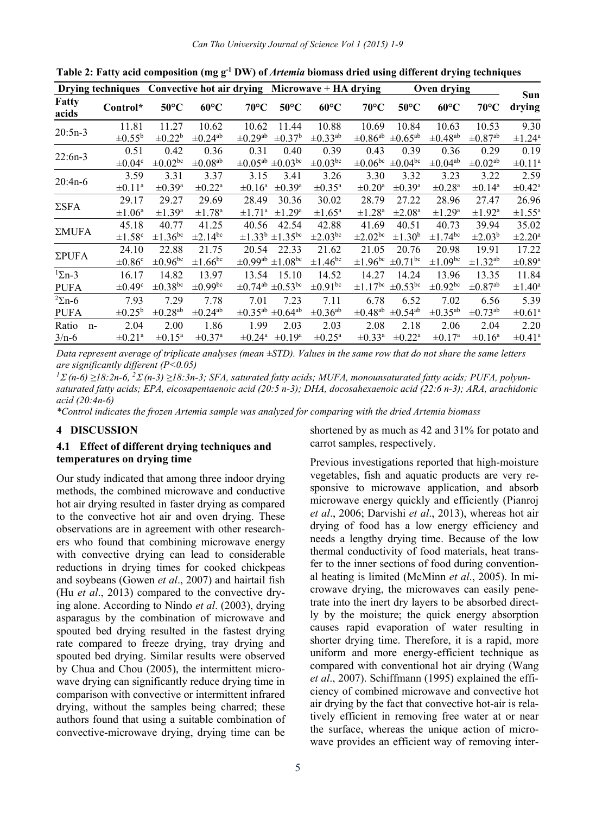|                   | Drying techniques Convective hot air drying Microwave + HA drying |                          |                          |                          |                                        |                          |                          |                          | Oven drying              |                          |                         |
|-------------------|-------------------------------------------------------------------|--------------------------|--------------------------|--------------------------|----------------------------------------|--------------------------|--------------------------|--------------------------|--------------------------|--------------------------|-------------------------|
| Fatty<br>acids    | Control*                                                          | $50^{\circ}$ C           | $60^{\circ}$ C           | $70^{\circ}$ C           | $50^{\circ}$ C                         | $60^{\circ}$ C           | $70^{\circ}$ C           | $50^{\circ}$ C           | $60^{\circ}$ C           | $70^{\circ}$ C           | Sun<br>drying           |
| $20:5n-3$         | 11.81                                                             | 11.27                    | 10.62                    | 10.62                    | 11.44                                  | 10.88                    | 10.69                    | 10.84                    | 10.63                    | 10.53                    | 9.30                    |
|                   | $\pm 0.55^{\rm b}$                                                | $\pm 0.22^{\rm b}$       | $\pm 0.24$ <sup>ab</sup> | $\pm 0.29$ <sup>ab</sup> | $\pm 0.37^{\rm b}$                     | $\pm 0.33$ <sup>ab</sup> | $\pm 0.86$ <sup>ab</sup> | $\pm 0.65$ <sup>ab</sup> | $\pm 0.48$ <sup>ab</sup> | $\pm 0.87$ <sup>ab</sup> | $\pm 1.24$ <sup>a</sup> |
| $22:6n-3$         | 0.51                                                              | 0.42                     | 0.36                     | 0.31                     | 0.40                                   | 0.39                     | 0.43                     | 0.39                     | 0.36                     | 0.29                     | 0.19                    |
|                   | $\pm 0.04^{\circ}$                                                | $\pm 0.02^{\rm bc}$      | $\pm 0.08$ <sup>ab</sup> | $\pm 0.05^{\text{ab}}$   | $\pm 0.03$ bc                          | $\pm 0.03^{\rm bc}$      | $\pm 0.06^{\rm bc}$      | $\pm 0.04^{\rm bc}$      | $\pm 0.04$ <sup>ab</sup> | $\pm 0.02$ <sup>ab</sup> | $\pm 0.11^{\circ}$      |
| $20:4n-6$         | 3.59                                                              | 3.31                     | 3.37                     | 3.15                     | 3.41                                   | 3.26                     | 3.30                     | 3.32                     | 3.23                     | 3.22                     | 2.59                    |
|                   | $\pm 0.11^{\circ}$                                                | $\pm 0.39^{\rm a}$       | $\pm 0.22$ <sup>a</sup>  | $\pm 0.16^{\mathrm{a}}$  | $\pm 0.39^{\rm a}$                     | $\pm 0.35^{\mathrm{a}}$  | $\pm 0.20^{\mathrm{a}}$  | $\pm 0.39^{\mathrm{a}}$  | $\pm 0.28$ <sup>a</sup>  | $\pm 0.14$ <sup>a</sup>  | $\pm 0.42^{\mathrm{a}}$ |
| $\Sigma$ SFA      | 29.17                                                             | 29.27                    | 29.69                    | 28.49                    | 30.36                                  | 30.02                    | 28.79                    | 27.22                    | 28.96                    | 27.47                    | 26.96                   |
|                   | $\pm 1.06^{\circ}$                                                | $\pm 1.39^{\rm a}$       | $\pm 1.78$ <sup>a</sup>  | $\pm 1.71^{\rm a}$       | $\pm 1.29^{\mathrm{a}}$                | $\pm 1.65^{\circ}$       | $\pm 1.28$ <sup>a</sup>  | $\pm 2.08^{\text{a}}$    | $\pm 1.29^{\rm a}$       | $\pm 1.92^{\rm a}$       | $\pm 1.55^{\circ}$      |
| $\Sigma MUFA$     | 45.18                                                             | 40.77                    | 41.25                    | 40.56                    | 42.54                                  | 42.88                    | 41.69                    | 40.51                    | 40.73                    | 39.94                    | 35.02                   |
|                   | $\pm 1.58$ <sup>c</sup>                                           | $\pm 1.36$ <sup>bc</sup> | $\pm 2.14$ <sup>bc</sup> |                          | $\pm 1.33^{\rm b}$ $\pm 1.35^{\rm bc}$ | $\pm 2.03$ <sup>bc</sup> | $\pm 2.02^{\rm bc}$      | $\pm 1.30^{\rm b}$       | $\pm 1.74$ <sup>bc</sup> | $\pm 2.03^{\rm b}$       | $\pm 2.20^{\circ}$      |
| $\Sigma$ PUFA     | 24.10                                                             | 22.88                    | 21.75                    | 20.54                    | 22.33                                  | 21.62                    | 21.05                    | 20.76                    | 20.98                    | 19.91                    | 17.22                   |
|                   | $\pm 0.86^{\circ}$                                                | $\pm 0.96^{\rm bc}$      | $\pm 1.66$ <sup>bc</sup> | $\pm 0.99$ <sup>ab</sup> | $\pm 1.08$ bc                          | $\pm 1.46^{\rm bc}$      | $\pm 1.96^{\rm bc}$      | $\pm 0.71$ <sup>bc</sup> | $\pm 1.09$ bc            | $\pm$ 1.32 <sup>ab</sup> | $\pm 0.89^{\mathrm{a}}$ |
| $\frac{1}{2}$ n-3 | 16.17                                                             | 14.82                    | 13.97                    | 13.54                    | 15.10                                  | 14.52                    | 14.27                    | 14.24                    | 13.96                    | 13.35                    | 11.84                   |
| <b>PUFA</b>       | $\pm 0.49^{\circ}$                                                | $\pm 0.38$ bc            | $\pm 0.99$ bc            | $\pm 0.74$ <sup>ab</sup> | $\pm 0.53$ <sup>bc</sup>               | $\pm 0.91$ bc            | $\pm 1.17$ <sup>bc</sup> | $\pm 0.53$ bc            | $\pm 0.92$ bc            | $\pm 0.87$ <sup>ab</sup> | $\pm 1.40^{\circ}$      |
| $2\Sigma$ n-6     | 7.93                                                              | 7.29                     | 7.78                     | 7.01                     | 7.23                                   | 7.11                     | 6.78                     | 6.52                     | 7.02                     | 6.56                     | 5.39                    |
| <b>PUFA</b>       | $\pm 0.25^{\rm b}$                                                | $\pm 0.28$ <sup>ab</sup> | $\pm 0.24$ <sup>ab</sup> | $\pm 0.35^{\text{ab}}$   | $\pm 0.64$ <sup>ab</sup>               | $\pm 0.36$ <sup>ab</sup> | $\pm 0.48$ <sup>ab</sup> | $\pm 0.54$ <sup>ab</sup> | $\pm 0.35$ <sup>ab</sup> | $\pm 0.73$ <sup>ab</sup> | $\pm 0.61^{\circ}$      |
| Ratio<br>$n-$     | 2.04                                                              | 2.00                     | 1.86                     | 1.99                     | 2.03                                   | 2.03                     | 2.08                     | 2.18                     | 2.06                     | 2.04                     | 2.20                    |
| $3/n-6$           | $\pm 0.21^{\circ}$                                                | $\pm 0.15^{\text{a}}$    | $\pm 0.37$ <sup>a</sup>  | $\pm 0.24$ <sup>a</sup>  | $\pm 0.19^{\mathrm{a}}$                | $\pm 0.25^{\text{a}}$    | $\pm 0.33^{\text{a}}$    | $\pm 0.22$ <sup>a</sup>  | $\pm 0.17$ <sup>a</sup>  | $\pm 0.16^{\circ}$       | $\pm 0.41^{\circ}$      |

Table 2: Fatty acid composition (mg g<sup>-1</sup> DW) of *Artemia* biomass dried using different drying techniques

*Data represent average of triplicate analyses (mean ±STD). Values in the same row that do not share the same letters are significantly different (P<0.05)* 

*<sup>1</sup> (n-6) ≥18:2n-6, 2 (n-3) ≥18:3n-3; SFA, saturated fatty acids; MUFA, monounsaturated fatty acids; PUFA, polyunsaturated fatty acids; EPA, eicosapentaenoic acid (20:5 n-3); DHA, docosahexaenoic acid (22:6 n-3); ARA, arachidonic acid (20:4n-6)* 

*\*Control indicates the frozen Artemia sample was analyzed for comparing with the dried Artemia biomass*

#### **4 DISCUSSION**

### **4.1 Effect of different drying techniques and temperatures on drying time**

Our study indicated that among three indoor drying methods, the combined microwave and conductive hot air drying resulted in faster drying as compared to the convective hot air and oven drying. These observations are in agreement with other researchers who found that combining microwave energy with convective drying can lead to considerable reductions in drying times for cooked chickpeas and soybeans (Gowen *et al*., 2007) and hairtail fish (Hu *et al*., 2013) compared to the convective drying alone. According to Nindo *et al*. (2003), drying asparagus by the combination of microwave and spouted bed drying resulted in the fastest drying rate compared to freeze drying, tray drying and spouted bed drying. Similar results were observed by Chua and Chou (2005), the intermittent microwave drying can significantly reduce drying time in comparison with convective or intermittent infrared drying, without the samples being charred; these authors found that using a suitable combination of convective-microwave drying, drying time can be

shortened by as much as 42 and 31% for potato and carrot samples, respectively.

Previous investigations reported that high-moisture vegetables, fish and aquatic products are very responsive to microwave application, and absorb microwave energy quickly and efficiently (Pianroj *et al*., 2006; Darvishi *et al*., 2013), whereas hot air drying of food has a low energy efficiency and needs a lengthy drying time. Because of the low thermal conductivity of food materials, heat transfer to the inner sections of food during conventional heating is limited (McMinn *et al*., 2005). In microwave drying, the microwaves can easily penetrate into the inert dry layers to be absorbed directly by the moisture; the quick energy absorption causes rapid evaporation of water resulting in shorter drying time. Therefore, it is a rapid, more uniform and more energy-efficient technique as compared with conventional hot air drying (Wang *et al*., 2007). Schiffmann (1995) explained the efficiency of combined microwave and convective hot air drying by the fact that convective hot-air is relatively efficient in removing free water at or near the surface, whereas the unique action of microwave provides an efficient way of removing inter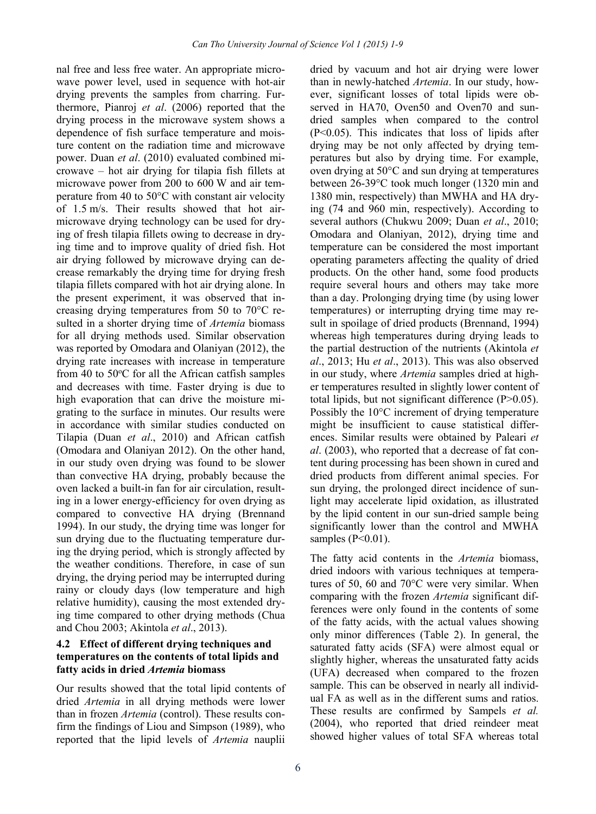nal free and less free water. An appropriate microwave power level, used in sequence with hot-air drying prevents the samples from charring. Furthermore, Pianroj *et al*. (2006) reported that the drying process in the microwave system shows a dependence of fish surface temperature and moisture content on the radiation time and microwave power. Duan *et al*. (2010) evaluated combined microwave – hot air drying for tilapia fish fillets at microwave power from 200 to 600 W and air temperature from 40 to 50°C with constant air velocity of 1.5 m/s. Their results showed that hot airmicrowave drying technology can be used for drying of fresh tilapia fillets owing to decrease in drying time and to improve quality of dried fish. Hot air drying followed by microwave drying can decrease remarkably the drying time for drying fresh tilapia fillets compared with hot air drying alone. In the present experiment, it was observed that increasing drying temperatures from 50 to 70°C resulted in a shorter drying time of *Artemia* biomass for all drying methods used. Similar observation was reported by Omodara and Olaniyan (2012), the drying rate increases with increase in temperature from 40 to 50°C for all the African catfish samples and decreases with time. Faster drying is due to high evaporation that can drive the moisture migrating to the surface in minutes. Our results were in accordance with similar studies conducted on Tilapia (Duan *et al*., 2010) and African catfish (Omodara and Olaniyan 2012). On the other hand, in our study oven drying was found to be slower than convective HA drying, probably because the oven lacked a built-in fan for air circulation, resulting in a lower energy-efficiency for oven drying as compared to convective HA drying (Brennand 1994). In our study, the drying time was longer for sun drying due to the fluctuating temperature during the drying period, which is strongly affected by the weather conditions. Therefore, in case of sun drying, the drying period may be interrupted during rainy or cloudy days (low temperature and high relative humidity), causing the most extended drying time compared to other drying methods (Chua and Chou 2003; Akintola *et al*., 2013).

## **4.2 Effect of different drying techniques and temperatures on the contents of total lipids and fatty acids in dried** *Artemia* **biomass**

Our results showed that the total lipid contents of dried *Artemia* in all drying methods were lower than in frozen *Artemia* (control). These results confirm the findings of Liou and Simpson (1989), who reported that the lipid levels of *Artemia* nauplii

dried by vacuum and hot air drying were lower than in newly-hatched *Artemia*. In our study, however, significant losses of total lipids were observed in HA70, Oven50 and Oven70 and sundried samples when compared to the control (P<0.05). This indicates that loss of lipids after drying may be not only affected by drying temperatures but also by drying time. For example, oven drying at 50°C and sun drying at temperatures between 26-39°C took much longer (1320 min and 1380 min, respectively) than MWHA and HA drying (74 and 960 min, respectively). According to several authors (Chukwu 2009; Duan *et al*., 2010; Omodara and Olaniyan, 2012), drying time and temperature can be considered the most important operating parameters affecting the quality of dried products. On the other hand, some food products require several hours and others may take more than a day. Prolonging drying time (by using lower temperatures) or interrupting drying time may result in spoilage of dried products (Brennand, 1994) whereas high temperatures during drying leads to the partial destruction of the nutrients (Akintola *et al*., 2013; Hu *et al*., 2013). This was also observed in our study, where *Artemia* samples dried at higher temperatures resulted in slightly lower content of total lipids, but not significant difference (P>0.05). Possibly the 10°C increment of drying temperature might be insufficient to cause statistical differences. Similar results were obtained by Paleari *et al*. (2003), who reported that a decrease of fat content during processing has been shown in cured and dried products from different animal species. For sun drying, the prolonged direct incidence of sunlight may accelerate lipid oxidation, as illustrated by the lipid content in our sun-dried sample being significantly lower than the control and MWHA samples  $(P<0.01)$ .

The fatty acid contents in the *Artemia* biomass, dried indoors with various techniques at temperatures of 50, 60 and 70°C were very similar. When comparing with the frozen *Artemia* significant differences were only found in the contents of some of the fatty acids, with the actual values showing only minor differences (Table 2). In general, the saturated fatty acids (SFA) were almost equal or slightly higher, whereas the unsaturated fatty acids (UFA) decreased when compared to the frozen sample. This can be observed in nearly all individual FA as well as in the different sums and ratios. These results are confirmed by Sampels *et al.* (2004), who reported that dried reindeer meat showed higher values of total SFA whereas total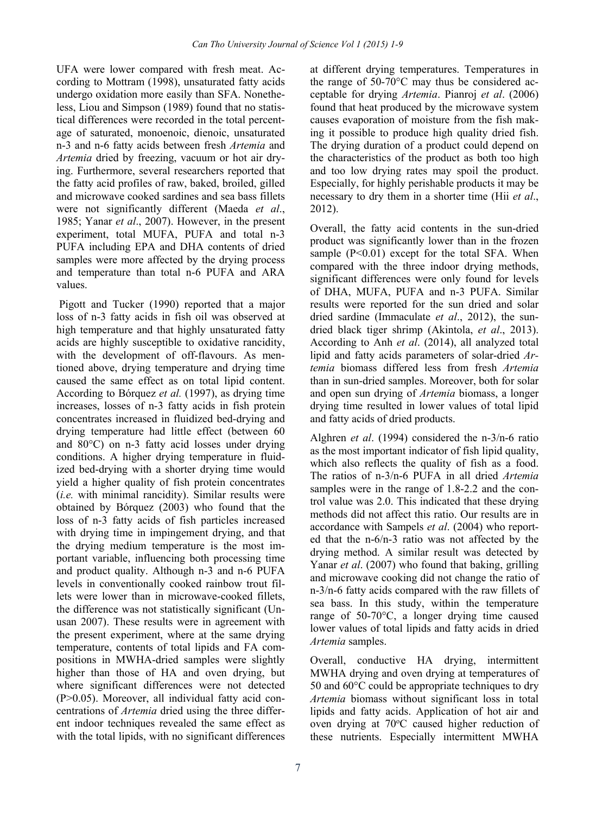UFA were lower compared with fresh meat. According to Mottram (1998), unsaturated fatty acids undergo oxidation more easily than SFA. Nonetheless, Liou and Simpson (1989) found that no statistical differences were recorded in the total percentage of saturated, monoenoic, dienoic, unsaturated n-3 and n-6 fatty acids between fresh *Artemia* and *Artemia* dried by freezing, vacuum or hot air drying. Furthermore, several researchers reported that the fatty acid profiles of raw, baked, broiled, gilled and microwave cooked sardines and sea bass fillets were not significantly different (Maeda *et al*., 1985; Yanar *et al*., 2007). However, in the present experiment, total MUFA, PUFA and total n-3 PUFA including EPA and DHA contents of dried samples were more affected by the drying process and temperature than total n-6 PUFA and ARA values.

 Pigott and Tucker (1990) reported that a major loss of n-3 fatty acids in fish oil was observed at high temperature and that highly unsaturated fatty acids are highly susceptible to oxidative rancidity, with the development of off-flavours. As mentioned above, drying temperature and drying time caused the same effect as on total lipid content. According to Bórquez *et al.* (1997), as drying time increases, losses of n-3 fatty acids in fish protein concentrates increased in fluidized bed-drying and drying temperature had little effect (between 60 and 80°C) on n-3 fatty acid losses under drying conditions. A higher drying temperature in fluidized bed-drying with a shorter drying time would yield a higher quality of fish protein concentrates (*i.e.* with minimal rancidity). Similar results were obtained by Bórquez (2003) who found that the loss of n-3 fatty acids of fish particles increased with drying time in impingement drying, and that the drying medium temperature is the most important variable, influencing both processing time and product quality. Although n-3 and n-6 PUFA levels in conventionally cooked rainbow trout fillets were lower than in microwave-cooked fillets, the difference was not statistically significant (Unusan 2007). These results were in agreement with the present experiment, where at the same drying temperature, contents of total lipids and FA compositions in MWHA-dried samples were slightly higher than those of HA and oven drying, but where significant differences were not detected (P>0.05). Moreover, all individual fatty acid concentrations of *Artemia* dried using the three different indoor techniques revealed the same effect as with the total lipids, with no significant differences at different drying temperatures. Temperatures in the range of 50-70°C may thus be considered acceptable for drying *Artemia*. Pianroj *et al*. (2006) found that heat produced by the microwave system causes evaporation of moisture from the fish making it possible to produce high quality dried fish. The drying duration of a product could depend on the characteristics of the product as both too high and too low drying rates may spoil the product. Especially, for highly perishable products it may be necessary to dry them in a shorter time (Hii *et al*., 2012).

Overall, the fatty acid contents in the sun-dried product was significantly lower than in the frozen sample  $(P<0.01)$  except for the total SFA. When compared with the three indoor drying methods, significant differences were only found for levels of DHA, MUFA, PUFA and n-3 PUFA. Similar results were reported for the sun dried and solar dried sardine (Immaculate *et al*., 2012), the sundried black tiger shrimp (Akintola, *et al*., 2013). According to Anh *et al*. (2014), all analyzed total lipid and fatty acids parameters of solar-dried *Artemia* biomass differed less from fresh *Artemia* than in sun-dried samples. Moreover, both for solar and open sun drying of *Artemia* biomass, a longer drying time resulted in lower values of total lipid and fatty acids of dried products.

Alghren *et al*. (1994) considered the n-3/n-6 ratio as the most important indicator of fish lipid quality, which also reflects the quality of fish as a food. The ratios of n-3/n-6 PUFA in all dried *Artemia* samples were in the range of 1.8-2.2 and the control value was 2.0. This indicated that these drying methods did not affect this ratio. Our results are in accordance with Sampels *et al*. (2004) who reported that the n-6/n-3 ratio was not affected by the drying method. A similar result was detected by Yanar *et al.* (2007) who found that baking, grilling and microwave cooking did not change the ratio of n-3/n-6 fatty acids compared with the raw fillets of sea bass. In this study, within the temperature range of 50-70°C, a longer drying time caused lower values of total lipids and fatty acids in dried *Artemia* samples.

Overall, conductive HA drying, intermittent MWHA drying and oven drying at temperatures of 50 and 60°C could be appropriate techniques to dry *Artemia* biomass without significant loss in total lipids and fatty acids. Application of hot air and oven drying at 70°C caused higher reduction of these nutrients. Especially intermittent MWHA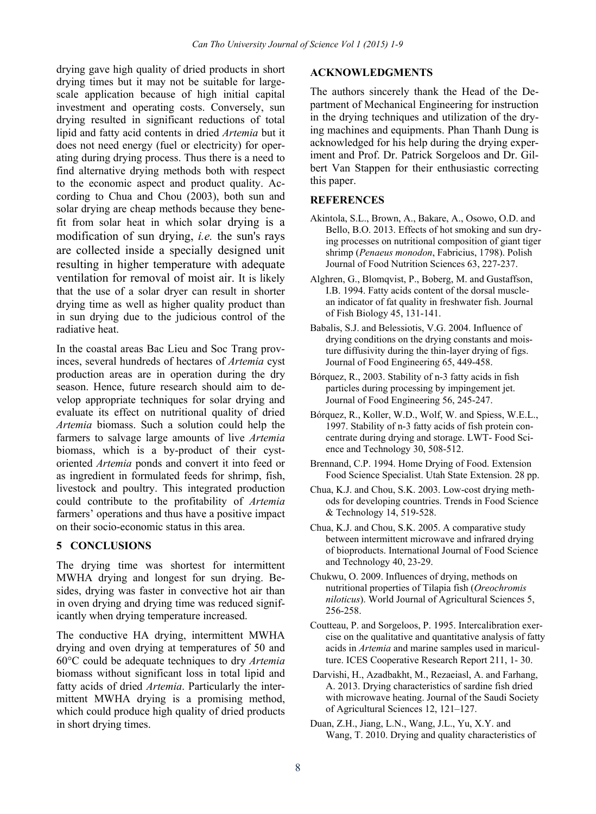drying gave high quality of dried products in short drying times but it may not be suitable for largescale application because of high initial capital investment and operating costs. Conversely, sun drying resulted in significant reductions of total lipid and fatty acid contents in dried *Artemia* but it does not need energy (fuel or electricity) for operating during drying process. Thus there is a need to find alternative drying methods both with respect to the economic aspect and product quality. According to Chua and Chou (2003), both sun and solar drying are cheap methods because they benefit from solar heat in which solar drying is a modification of sun drying, *i.e.* the sun's rays are collected inside a specially designed unit resulting in higher temperature with adequate ventilation for removal of moist air. It is likely that the use of a solar dryer can result in shorter drying time as well as higher quality product than in sun drying due to the judicious control of the radiative heat.

In the coastal areas Bac Lieu and Soc Trang provinces, several hundreds of hectares of *Artemia* cyst production areas are in operation during the dry season. Hence, future research should aim to develop appropriate techniques for solar drying and evaluate its effect on nutritional quality of dried *Artemia* biomass. Such a solution could help the farmers to salvage large amounts of live *Artemia* biomass, which is a by-product of their cystoriented *Artemia* ponds and convert it into feed or as ingredient in formulated feeds for shrimp, fish, livestock and poultry. This integrated production could contribute to the profitability of *Artemia* farmers' operations and thus have a positive impact on their socio-economic status in this area.

### **5 CONCLUSIONS**

The drying time was shortest for intermittent MWHA drying and longest for sun drying. Besides, drying was faster in convective hot air than in oven drying and drying time was reduced significantly when drying temperature increased.

The conductive HA drying, intermittent MWHA drying and oven drying at temperatures of 50 and 60°C could be adequate techniques to dry *Artemia* biomass without significant loss in total lipid and fatty acids of dried *Artemia*. Particularly the intermittent MWHA drying is a promising method, which could produce high quality of dried products in short drying times.

### **ACKNOWLEDGMENTS**

The authors sincerely thank the Head of the Department of Mechanical Engineering for instruction in the drying techniques and utilization of the drying machines and equipments. Phan Thanh Dung is acknowledged for his help during the drying experiment and Prof. Dr. Patrick Sorgeloos and Dr. Gilbert Van Stappen for their enthusiastic correcting this paper.

### **REFERENCES**

- Akintola, S.L., Brown, A., Bakare, A., Osowo, O.D. and Bello, B.O. 2013. Effects of hot smoking and sun drying processes on nutritional composition of giant tiger shrimp (*Penaeus monodon*, Fabricius, 1798). Polish Journal of Food Nutrition Sciences 63, 227-237.
- Alghren, G., Blomqvist, P., Boberg, M. and Gustaffson, I.B. 1994. Fatty acids content of the dorsal musclean indicator of fat quality in freshwater fish. Journal of Fish Biology 45, 131-141.
- Babalis, S.J. and Belessiotis, V.G. 2004. Influence of drying conditions on the drying constants and moisture diffusivity during the thin-layer drying of figs. Journal of Food Engineering 65, 449-458.
- Bórquez, R., 2003. Stability of n-3 fatty acids in fish particles during processing by impingement jet. Journal of Food Engineering 56, 245-247.
- Bórquez, R., Koller, W.D., Wolf, W. and Spiess, W.E.L., 1997. Stability of n-3 fatty acids of fish protein concentrate during drying and storage. LWT- Food Science and Technology 30, 508-512.
- Brennand, C.P. 1994. Home Drying of Food. Extension Food Science Specialist. Utah State Extension. 28 pp.
- Chua, K.J. and Chou, S.K. 2003. Low-cost drying methods for developing countries. Trends in Food Science & Technology 14, 519-528.
- Chua, K.J. and Chou, S.K. 2005. A comparative study between intermittent microwave and infrared drying of bioproducts. International Journal of Food Science and Technology 40, 23-29.
- Chukwu, O. 2009. Influences of drying, methods on nutritional properties of Tilapia fish (*Oreochromis niloticus*). World Journal of Agricultural Sciences 5, 256-258.
- Coutteau, P. and Sorgeloos, P. 1995. Intercalibration exercise on the qualitative and quantitative analysis of fatty acids in *Artemia* and marine samples used in mariculture. ICES Cooperative Research Report 211, 1- 30.
- Darvishi, H., Azadbakht, M., Rezaeiasl, A. and Farhang, A. 2013. Drying characteristics of sardine fish dried with microwave heating. Journal of the Saudi Society of Agricultural Sciences 12, 121–127.
- Duan, Z.H., Jiang, L.N., Wang, J.L., Yu, X.Y. and Wang, T. 2010. Drying and quality characteristics of